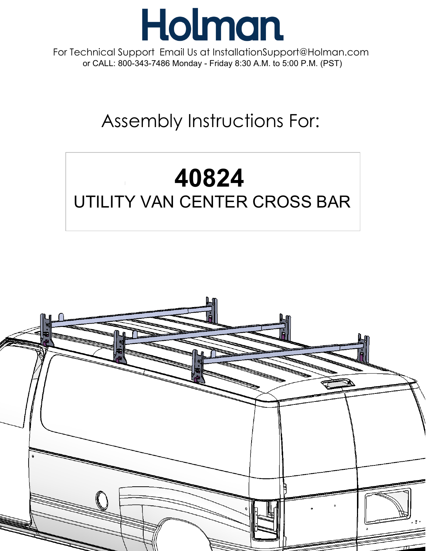

For Technical Support Email Us at InstallationSupport@Holman.com or CALL: 800-343-7486 Monday - Friday 8:30 A.M. to 5:00 P.M. (PST)

## Assembly Instructions For:

# 40824 UTILITY VAN CENTER CROSS BAR

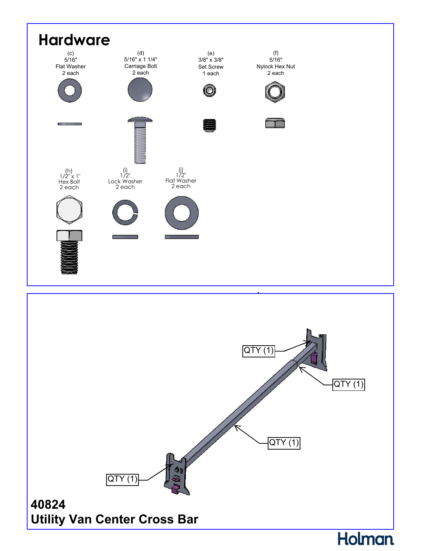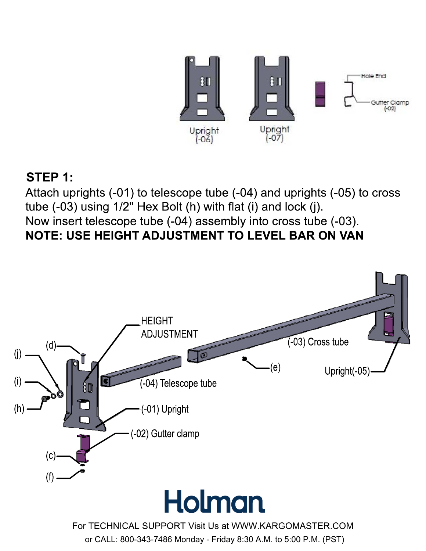

#### **STEP 1:**

Attach uprights (-01) to telescope tube (-04) and uprights (-05) to cross tube (-03) using 1/2" Hex Bolt (h) with flat (i) and lock (j). Now insert telescope tube (-04) assembly into cross tube (-03). **NOTE: USE HEIGHT ADJUSTMENT TO LEVEL BAR ON VAN**